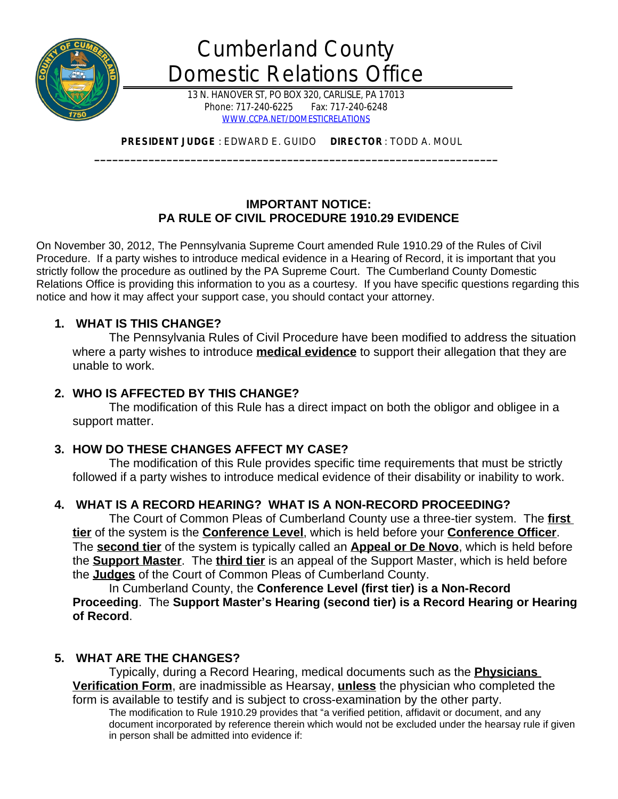

# Cumberland County Domestic Relations Office

13 N. HANOVER ST, PO BOX 320, CARLISLE, PA 17013 Phone: 717-240-6225 Fax: 717-240-6248 [WWW.CCPA.NET/DOMESTICRELATIONS](http://WWW.CCPA.NET/DOMESTICRELATIONS)

 **PRESIDENT JUDGE** : EDWARD E. GUIDO **DIRECTOR** : TODD A. MOUL **\_\_\_\_\_\_\_\_\_\_\_\_\_\_\_\_\_\_\_\_\_\_\_\_\_\_\_\_\_\_\_\_\_\_\_\_\_\_\_\_\_\_\_\_\_\_\_\_\_\_\_\_\_\_\_\_\_\_\_\_\_\_\_\_\_\_\_**

# **IMPORTANT NOTICE: PA RULE OF CIVIL PROCEDURE 1910.29 EVIDENCE**

On November 30, 2012, The Pennsylvania Supreme Court amended Rule 1910.29 of the Rules of Civil Procedure. If a party wishes to introduce medical evidence in a Hearing of Record, it is important that you strictly follow the procedure as outlined by the PA Supreme Court. The Cumberland County Domestic Relations Office is providing this information to you as a courtesy. If you have specific questions regarding this notice and how it may affect your support case, you should contact your attorney.

# **1. WHAT IS THIS CHANGE?**

The Pennsylvania Rules of Civil Procedure have been modified to address the situation where a party wishes to introduce **medical evidence** to support their allegation that they are unable to work.

## **2. WHO IS AFFECTED BY THIS CHANGE?**

The modification of this Rule has a direct impact on both the obligor and obligee in a support matter.

## **3. HOW DO THESE CHANGES AFFECT MY CASE?**

The modification of this Rule provides specific time requirements that must be strictly followed if a party wishes to introduce medical evidence of their disability or inability to work.

# **4. WHAT IS A RECORD HEARING? WHAT IS A NON-RECORD PROCEEDING?**

The Court of Common Pleas of Cumberland County use a three-tier system. The **first tier** of the system is the **Conference Level**, which is held before your **Conference Officer**. The **second tier** of the system is typically called an **Appeal or De Novo**, which is held before the **Support Master**. The **third tier** is an appeal of the Support Master, which is held before the **Judges** of the Court of Common Pleas of Cumberland County.

In Cumberland County, the **Conference Level (first tier) is a Non-Record Proceeding**. The **Support Master's Hearing (second tier) is a Record Hearing or Hearing of Record**.

## **5. WHAT ARE THE CHANGES?**

Typically, during a Record Hearing, medical documents such as the **Physicians Verification Form**, are inadmissible as Hearsay, **unless** the physician who completed the form is available to testify and is subject to cross-examination by the other party.

The modification to Rule 1910.29 provides that "a verified petition, affidavit or document, and any document incorporated by reference therein which would not be excluded under the hearsay rule if given in person shall be admitted into evidence if: